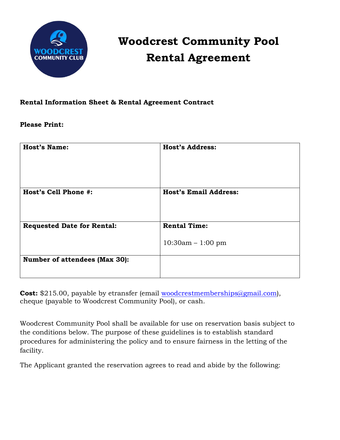

## **Woodcrest Community Pool Rental Agreement**

## **Rental Information Sheet & Rental Agreement Contract**

## **Please Print:**

| <b>Host's Name:</b>                  | <b>Host's Address:</b>                     |
|--------------------------------------|--------------------------------------------|
| Host's Cell Phone #:                 | <b>Host's Email Address:</b>               |
| <b>Requested Date for Rental:</b>    | <b>Rental Time:</b><br>$10:30am - 1:00 pm$ |
| <b>Number of attendees (Max 30):</b> |                                            |

**Cost:** \$215.00, payable by etransfer (email [woodcrestmemberships@gmail.com\)](mailto:woodcrestmemberships@gmail.com), cheque (payable to Woodcrest Community Pool), or cash.

Woodcrest Community Pool shall be available for use on reservation basis subject to the conditions below. The purpose of these guidelines is to establish standard procedures for administering the policy and to ensure fairness in the letting of the facility.

The Applicant granted the reservation agrees to read and abide by the following: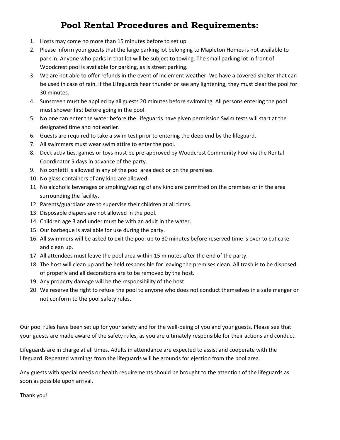## **Pool Rental Procedures and Requirements:**

- 1. Hosts may come no more than 15 minutes before to set up.
- 2. Please inform your guests that the large parking lot belonging to Mapleton Homes is not available to park in. Anyone who parks in that lot will be subject to towing. The small parking lot in front of Woodcrest pool is available for parking, as is street parking.
- 3. We are not able to offer refunds in the event of inclement weather. We have a covered shelter that can be used in case of rain. If the Lifeguards hear thunder or see any lightening, they must clear the pool for 30 minutes.
- 4. Sunscreen must be applied by all guests 20 minutes before swimming. All persons entering the pool must shower first before going in the pool.
- 5. No one can enter the water before the Lifeguards have given permission Swim tests will start at the designated time and not earlier.
- 6. Guests are required to take a swim test prior to entering the deep end by the lifeguard.
- 7. All swimmers must wear swim attire to enter the pool.
- 8. Deck activities, games or toys must be pre-approved by Woodcrest Community Pool via the Rental Coordinator 5 days in advance of the party.
- 9. No confetti is allowed in any of the pool area deck or on the premises.
- 10. No glass containers of any kind are allowed.
- 11. No alcoholic beverages or smoking/vaping of any kind are permitted on the premises or in the area surrounding the facility.
- 12. Parents/guardians are to supervise their children at all times.
- 13. Disposable diapers are not allowed in the pool.
- 14. Children age 3 and under must be with an adult in the water.
- 15. Our barbeque is available for use during the party.
- 16. All swimmers will be asked to exit the pool up to 30 minutes before reserved time is over to cut cake and clean up.
- 17. All attendees must leave the pool area within 15 minutes after the end of the party.
- 18. The host will clean up and be held responsible for leaving the premises clean. All trash is to be disposed of properly and all decorations are to be removed by the host.
- 19. Any property damage will be the responsibility of the host.
- 20. We reserve the right to refuse the pool to anyone who does not conduct themselves in a safe manger or not conform to the pool safety rules.

Our pool rules have been set up for your safety and for the well-being of you and your guests. Please see that your guests are made aware of the safety rules, as you are ultimately responsible for their actions and conduct.

Lifeguards are in charge at all times. Adults in attendance are expected to assist and cooperate with the lifeguard. Repeated warnings from the lifeguards will be grounds for ejection from the pool area.

Any guests with special needs or health requirements should be brought to the attention of the lifeguards as soon as possible upon arrival.

Thank you!